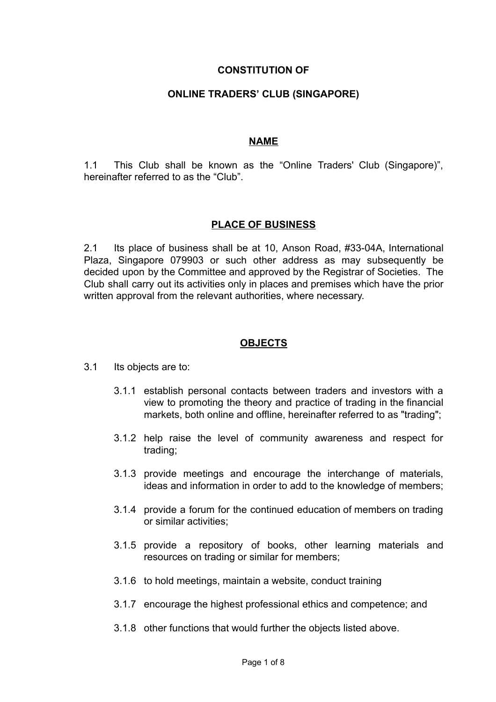### **CONSTITUTION OF**

### **ONLINE TRADERS' CLUB (SINGAPORE)**

#### **NAME**

1.1 This Club shall be known as the "Online Traders' Club (Singapore)", hereinafter referred to as the "Club".

#### **PLACE OF BUSINESS**

2.1 Its place of business shall be at 10, Anson Road, #33-04A, International Plaza, Singapore 079903 or such other address as may subsequently be decided upon by the Committee and approved by the Registrar of Societies. The Club shall carry out its activities only in places and premises which have the prior written approval from the relevant authorities, where necessary.

#### **OBJECTS**

- 3.1 Its objects are to:
	- 3.1.1 establish personal contacts between traders and investors with a view to promoting the theory and practice of trading in the financial markets, both online and offline, hereinafter referred to as "trading";
	- 3.1.2 help raise the level of community awareness and respect for trading;
	- 3.1.3 provide meetings and encourage the interchange of materials, ideas and information in order to add to the knowledge of members;
	- 3.1.4 provide a forum for the continued education of members on trading or similar activities;
	- 3.1.5 provide a repository of books, other learning materials and resources on trading or similar for members;
	- 3.1.6 to hold meetings, maintain a website, conduct training
	- 3.1.7 encourage the highest professional ethics and competence; and
	- 3.1.8 other functions that would further the objects listed above.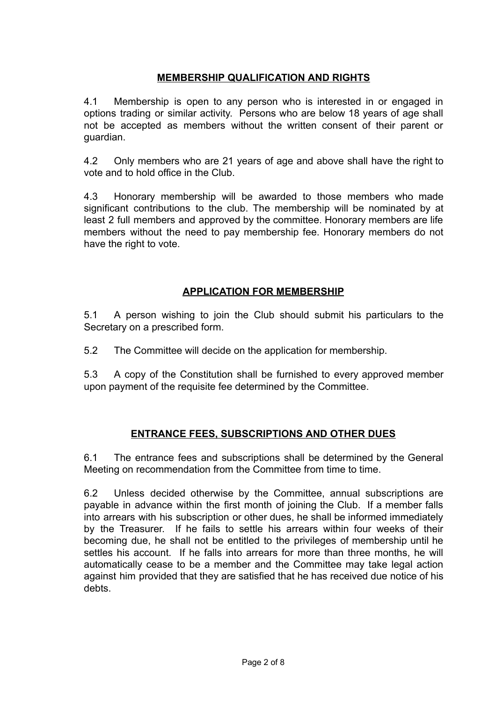## **MEMBERSHIP QUALIFICATION AND RIGHTS**

4.1 Membership is open to any person who is interested in or engaged in options trading or similar activity. Persons who are below 18 years of age shall not be accepted as members without the written consent of their parent or guardian.

4.2 Only members who are 21 years of age and above shall have the right to vote and to hold office in the Club.

4.3 Honorary membership will be awarded to those members who made significant contributions to the club. The membership will be nominated by at least 2 full members and approved by the committee. Honorary members are life members without the need to pay membership fee. Honorary members do not have the right to vote.

# **APPLICATION FOR MEMBERSHIP**

5.1 A person wishing to join the Club should submit his particulars to the Secretary on a prescribed form.

5.2 The Committee will decide on the application for membership.

5.3 A copy of the Constitution shall be furnished to every approved member upon payment of the requisite fee determined by the Committee.

# **ENTRANCE FEES, SUBSCRIPTIONS AND OTHER DUES**

6.1 The entrance fees and subscriptions shall be determined by the General Meeting on recommendation from the Committee from time to time.

6.2 Unless decided otherwise by the Committee, annual subscriptions are payable in advance within the first month of joining the Club. If a member falls into arrears with his subscription or other dues, he shall be informed immediately by the Treasurer. If he fails to settle his arrears within four weeks of their becoming due, he shall not be entitled to the privileges of membership until he settles his account. If he falls into arrears for more than three months, he will automatically cease to be a member and the Committee may take legal action against him provided that they are satisfied that he has received due notice of his debts.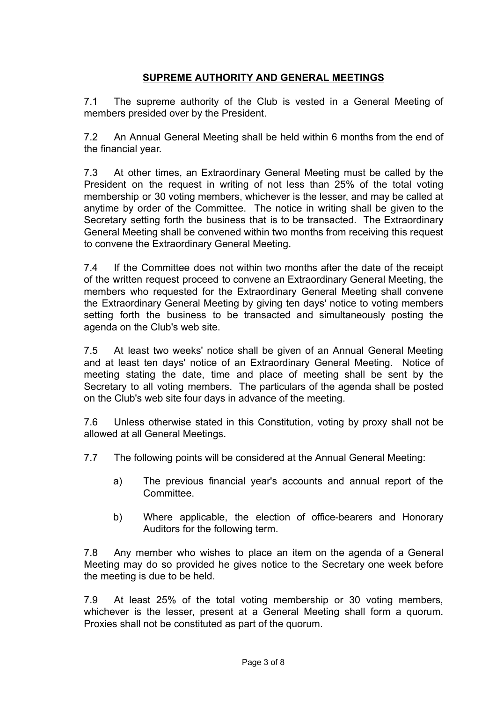# **SUPREME AUTHORITY AND GENERAL MEETINGS**

7.1 The supreme authority of the Club is vested in a General Meeting of members presided over by the President.

7.2 An Annual General Meeting shall be held within 6 months from the end of the financial year.

7.3 At other times, an Extraordinary General Meeting must be called by the President on the request in writing of not less than 25% of the total voting membership or 30 voting members, whichever is the lesser, and may be called at anytime by order of the Committee. The notice in writing shall be given to the Secretary setting forth the business that is to be transacted. The Extraordinary General Meeting shall be convened within two months from receiving this request to convene the Extraordinary General Meeting.

7.4 If the Committee does not within two months after the date of the receipt of the written request proceed to convene an Extraordinary General Meeting, the members who requested for the Extraordinary General Meeting shall convene the Extraordinary General Meeting by giving ten days' notice to voting members setting forth the business to be transacted and simultaneously posting the agenda on the Club's web site.

7.5 At least two weeks' notice shall be given of an Annual General Meeting and at least ten days' notice of an Extraordinary General Meeting. Notice of meeting stating the date, time and place of meeting shall be sent by the Secretary to all voting members. The particulars of the agenda shall be posted on the Club's web site four days in advance of the meeting.

7.6 Unless otherwise stated in this Constitution, voting by proxy shall not be allowed at all General Meetings.

- 7.7 The following points will be considered at the Annual General Meeting:
	- a) The previous financial year's accounts and annual report of the Committee.
	- b) Where applicable, the election of office-bearers and Honorary Auditors for the following term.

7.8 Any member who wishes to place an item on the agenda of a General Meeting may do so provided he gives notice to the Secretary one week before the meeting is due to be held.

7.9 At least 25% of the total voting membership or 30 voting members, whichever is the lesser, present at a General Meeting shall form a quorum. Proxies shall not be constituted as part of the quorum.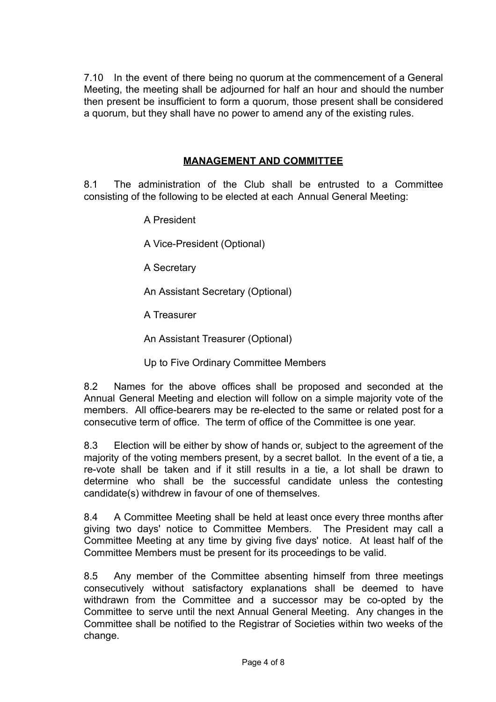7.10 In the event of there being no quorum at the commencement of a General Meeting, the meeting shall be adjourned for half an hour and should the number then present be insufficient to form a quorum, those present shall be considered a quorum, but they shall have no power to amend any of the existing rules.

## **MANAGEMENT AND COMMITTEE**

8.1 The administration of the Club shall be entrusted to a Committee consisting of the following to be elected at each Annual General Meeting:

A President

A Vice-President (Optional)

A Secretary

An Assistant Secretary (Optional)

A Treasurer

An Assistant Treasurer (Optional)

Up to Five Ordinary Committee Members

8.2 Names for the above offices shall be proposed and seconded at the Annual General Meeting and election will follow on a simple majority vote of the members. All office-bearers may be re-elected to the same or related post for a consecutive term of office. The term of office of the Committee is one year.

8.3 Election will be either by show of hands or, subject to the agreement of the majority of the voting members present, by a secret ballot. In the event of a tie, a re-vote shall be taken and if it still results in a tie, a lot shall be drawn to determine who shall be the successful candidate unless the contesting candidate(s) withdrew in favour of one of themselves.

8.4 A Committee Meeting shall be held at least once every three months after giving two days' notice to Committee Members. The President may call a Committee Meeting at any time by giving five days' notice. At least half of the Committee Members must be present for its proceedings to be valid.

8.5 Any member of the Committee absenting himself from three meetings consecutively without satisfactory explanations shall be deemed to have withdrawn from the Committee and a successor may be co-opted by the Committee to serve until the next Annual General Meeting. Any changes in the Committee shall be notified to the Registrar of Societies within two weeks of the change.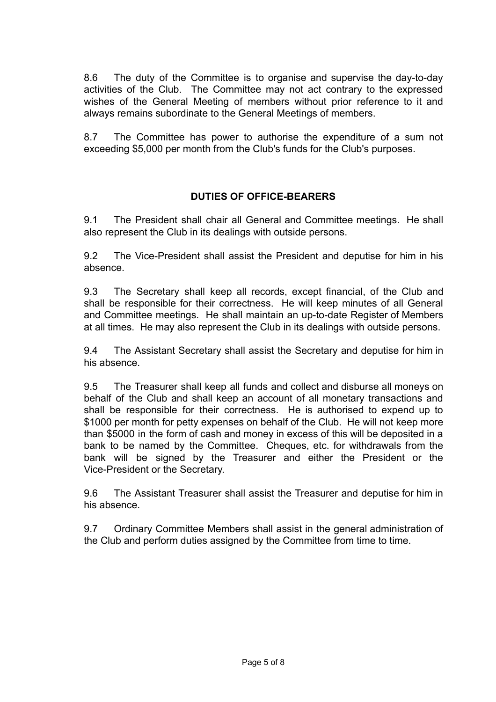8.6 The duty of the Committee is to organise and supervise the day-to-day activities of the Club. The Committee may not act contrary to the expressed wishes of the General Meeting of members without prior reference to it and always remains subordinate to the General Meetings of members.

8.7 The Committee has power to authorise the expenditure of a sum not exceeding \$5,000 per month from the Club's funds for the Club's purposes.

# **DUTIES OF OFFICE-BEARERS**

9.1 The President shall chair all General and Committee meetings. He shall also represent the Club in its dealings with outside persons.

9.2 The Vice-President shall assist the President and deputise for him in his absence.

9.3 The Secretary shall keep all records, except financial, of the Club and shall be responsible for their correctness. He will keep minutes of all General and Committee meetings. He shall maintain an up-to-date Register of Members at all times. He may also represent the Club in its dealings with outside persons.

9.4 The Assistant Secretary shall assist the Secretary and deputise for him in his absence.

9.5 The Treasurer shall keep all funds and collect and disburse all moneys on behalf of the Club and shall keep an account of all monetary transactions and shall be responsible for their correctness. He is authorised to expend up to \$1000 per month for petty expenses on behalf of the Club. He will not keep more than \$5000 in the form of cash and money in excess of this will be deposited in a bank to be named by the Committee. Cheques, etc. for withdrawals from the bank will be signed by the Treasurer and either the President or the Vice-President or the Secretary.

9.6 The Assistant Treasurer shall assist the Treasurer and deputise for him in his absence.

9.7 Ordinary Committee Members shall assist in the general administration of the Club and perform duties assigned by the Committee from time to time.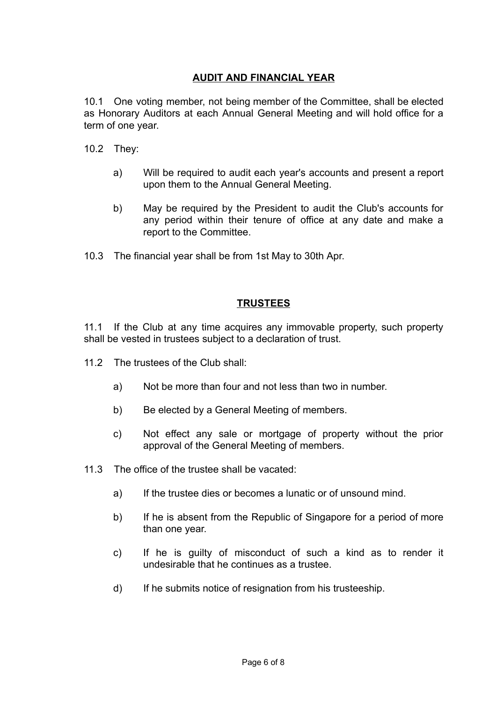# **AUDIT AND FINANCIAL YEAR**

10.1 One voting member, not being member of the Committee, shall be elected as Honorary Auditors at each Annual General Meeting and will hold office for a term of one year.

- 10.2 They:
	- a) Will be required to audit each year's accounts and present a report upon them to the Annual General Meeting.
	- b) May be required by the President to audit the Club's accounts for any period within their tenure of office at any date and make a report to the Committee.
- 10.3 The financial year shall be from 1st May to 30th Apr.

### **TRUSTEES**

11.1 If the Club at any time acquires any immovable property, such property shall be vested in trustees subject to a declaration of trust.

- 11.2 The trustees of the Club shall:
	- a) Not be more than four and not less than two in number.
	- b) Be elected by a General Meeting of members.
	- c) Not effect any sale or mortgage of property without the prior approval of the General Meeting of members.
- 11.3 The office of the trustee shall be vacated:
	- a) If the trustee dies or becomes a lunatic or of unsound mind.
	- b) If he is absent from the Republic of Singapore for a period of more than one year.
	- c) If he is guilty of misconduct of such a kind as to render it undesirable that he continues as a trustee.
	- d) If he submits notice of resignation from his trusteeship.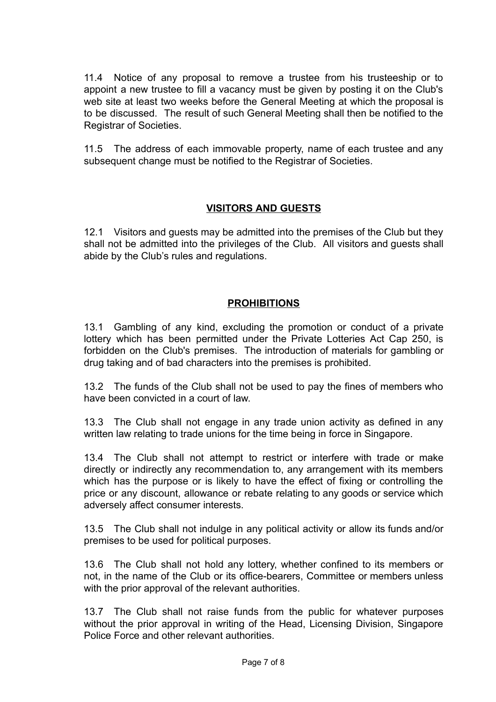11.4 Notice of any proposal to remove a trustee from his trusteeship or to appoint a new trustee to fill a vacancy must be given by posting it on the Club's web site at least two weeks before the General Meeting at which the proposal is to be discussed. The result of such General Meeting shall then be notified to the Registrar of Societies.

11.5 The address of each immovable property, name of each trustee and any subsequent change must be notified to the Registrar of Societies.

### **VISITORS AND GUESTS**

12.1 Visitors and guests may be admitted into the premises of the Club but they shall not be admitted into the privileges of the Club. All visitors and guests shall abide by the Club's rules and regulations.

## **PROHIBITIONS**

13.1 Gambling of any kind, excluding the promotion or conduct of a private lottery which has been permitted under the Private Lotteries Act Cap 250, is forbidden on the Club's premises. The introduction of materials for gambling or drug taking and of bad characters into the premises is prohibited.

13.2 The funds of the Club shall not be used to pay the fines of members who have been convicted in a court of law.

13.3 The Club shall not engage in any trade union activity as defined in any written law relating to trade unions for the time being in force in Singapore.

13.4 The Club shall not attempt to restrict or interfere with trade or make directly or indirectly any recommendation to, any arrangement with its members which has the purpose or is likely to have the effect of fixing or controlling the price or any discount, allowance or rebate relating to any goods or service which adversely affect consumer interests.

13.5 The Club shall not indulge in any political activity or allow its funds and/or premises to be used for political purposes.

13.6 The Club shall not hold any lottery, whether confined to its members or not, in the name of the Club or its office-bearers, Committee or members unless with the prior approval of the relevant authorities.

13.7 The Club shall not raise funds from the public for whatever purposes without the prior approval in writing of the Head, Licensing Division, Singapore Police Force and other relevant authorities.